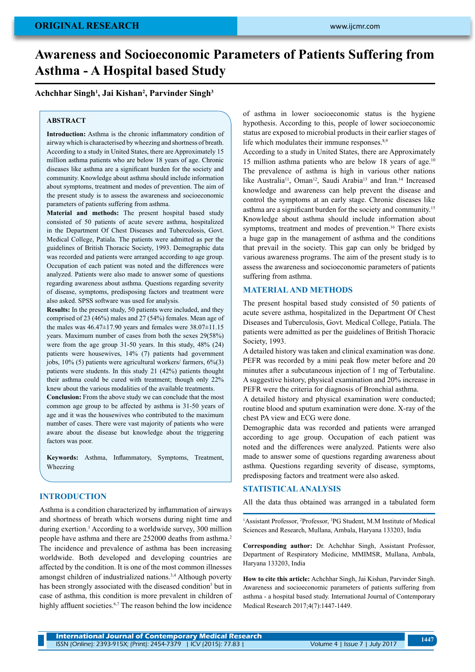# **Awareness and Socioeconomic Parameters of Patients Suffering from Asthma - A Hospital based Study**

## **Achchhar Singh1 , Jai Kishan2 , Parvinder Singh3**

## **ABSTRACT**

**Introduction:** Asthma is the chronic inflammatory condition of airway which is characterised by wheezing and shortness of breath. According to a study in United States, there are Approximately 15 million asthma patients who are below 18 years of age. Chronic diseases like asthma are a significant burden for the society and community. Knowledge about asthma should include information about symptoms, treatment and modes of prevention. The aim of the present study is to assess the awareness and socioeconomic parameters of patients suffering from asthma.

**Material and methods:** The present hospital based study consisted of 50 patients of acute severe asthma, hospitalized in the Department Of Chest Diseases and Tuberculosis, Govt. Medical College, Patiala. The patients were admitted as per the guidelines of British Thoracic Society, 1993. Demographic data was recorded and patients were arranged according to age group. Occupation of each patient was noted and the differences were analyzed. Patients were also made to answer some of questions regarding awareness about asthma. Questions regarding severity of disease, symptoms, predisposing factors and treatment were also asked. SPSS software was used for analysis.

**Results:** In the present study, 50 patients were included, and they comprised of 23 (46%) males and 27 (54%) females. Mean age of the males was  $46.47\pm17.90$  years and females were  $38.07\pm11.15$ years. Maximum number of cases from both the sexes 29(58%) were from the age group 31-50 years. In this study, 48% (24) patients were housewives, 14% (7) patients had government jobs, 10% (5) patients were agricultural workers/ farmers, 6%(3) patients were students. In this study 21 (42%) patients thought their asthma could be cured with treatment; though only 22% knew about the various modalities of the available treatments.

**Conclusion:** From the above study we can conclude that the most common age group to be affected by asthma is 31-50 years of age and it was the housewives who contributed to the maximum number of cases. There were vast majority of patients who were aware about the disease but knowledge about the triggering factors was poor.

**Keywords:** Asthma, Inflammatory, Symptoms, Treatment, Wheezing

### **INTRODUCTION**

Asthma is a condition characterized by inflammation of airways and shortness of breath which worsens during night time and during exertion.<sup>1</sup> According to a worldwide survey, 300 million people have asthma and there are 252000 deaths from asthma.2 The incidence and prevalence of asthma has been increasing worldwide. Both developed and developing countries are affected by the condition. It is one of the most common illnesses amongst children of industrialized nations.3,4 Although poverty has been strongly associated with the diseased condition<sup>5</sup> but in case of asthma, this condition is more prevalent in children of highly affluent societies.<sup>6,7</sup> The reason behind the low incidence

of asthma in lower socioeconomic status is the hygiene hypothesis. According to this, people of lower socioeconomic status are exposed to microbial products in their earlier stages of life which modulates their immune responses.<sup>8,9</sup>

According to a study in United States, there are Approximately 15 million asthma patients who are below 18 years of age.10 The prevalence of asthma is high in various other nations like Australia<sup>11</sup>, Oman<sup>12</sup>, Saudi Arabia<sup>13</sup> and Iran.<sup>14</sup> Increased knowledge and awareness can help prevent the disease and control the symptoms at an early stage. Chronic diseases like asthma are a significant burden for the society and community.15 Knowledge about asthma should include information about symptoms, treatment and modes of prevention.<sup>16</sup> There exists a huge gap in the management of asthma and the conditions that prevail in the society. This gap can only be bridged by various awareness programs. The aim of the present study is to assess the awareness and socioeconomic parameters of patients suffering from asthma.

#### **MATERIAL AND METHODS**

The present hospital based study consisted of 50 patients of acute severe asthma, hospitalized in the Department Of Chest Diseases and Tuberculosis, Govt. Medical College, Patiala. The patients were admitted as per the guidelines of British Thoracic Society, 1993.

A detailed history was taken and clinical examination was done. PEFR was recorded by a mini peak flow meter before and 20 minutes after a subcutaneous injection of 1 mg of Terbutaline. A suggestive history, physical examination and 20% increase in PEFR were the criteria for diagnosis of Bronchial asthma.

A detailed history and physical examination were conducted; routine blood and sputum examination were done. X-ray of the chest PA view and ECG were done.

Demographic data was recorded and patients were arranged according to age group. Occupation of each patient was noted and the differences were analyzed. Patients were also made to answer some of questions regarding awareness about asthma. Questions regarding severity of disease, symptoms, predisposing factors and treatment were also asked.

## **Statistical analysis**

All the data thus obtained was arranged in a tabulated form

<sup>1</sup>Assistant Professor, <sup>2</sup>Professor, <sup>3</sup>PG Student, M.M Institute of Medical Sciences and Research, Mullana, Ambala, Haryana 133203, India

**Corresponding author:** Dr. Achchhar Singh, Assistant Professor, Department of Respiratory Medicine, MMIMSR, Mullana, Ambala, Haryana 133203, India

**How to cite this article:** Achchhar Singh, Jai Kishan, Parvinder Singh. Awareness and socioeconomic parameters of patients suffering from asthma - a hospital based study. International Journal of Contemporary Medical Research 2017;4(7):1447-1449.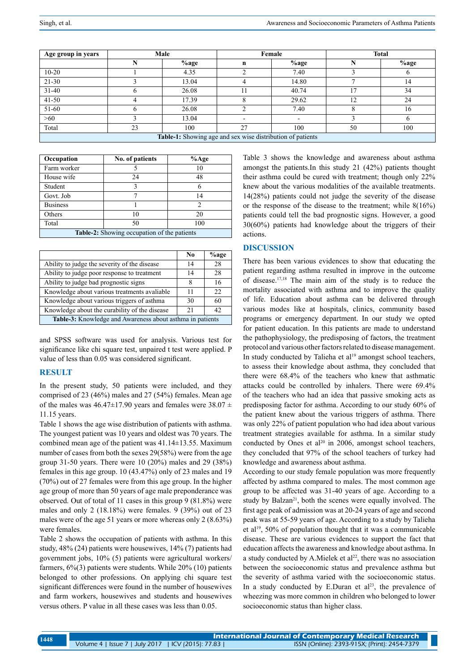| Age group in years                                         | Male |         | Female      |       | <b>Total</b> |         |  |
|------------------------------------------------------------|------|---------|-------------|-------|--------------|---------|--|
|                                                            |      | $%$ age | $\mathbf n$ | %age  |              | $%$ age |  |
| $10 - 20$                                                  |      | 4.35    |             | 7.40  |              |         |  |
| $21 - 30$                                                  |      | 13.04   | 4           | 14.80 |              | 14      |  |
| $31-40$                                                    |      | 26.08   |             | 40.74 |              | 34      |  |
| $41 - 50$                                                  |      | 17.39   |             | 29.62 | 12           | 24      |  |
| 51-60                                                      |      | 26.08   |             | 7.40  |              | 16      |  |
| >60                                                        |      | 13.04   |             |       |              |         |  |
| Total                                                      | 23   | 100     | 27          | 100   | 50           | 100     |  |
| Table-1: Showing age and sex wise distribution of patients |      |         |             |       |              |         |  |

| Occupation                                         | No. of patients | $%$ Age        |  |  |  |
|----------------------------------------------------|-----------------|----------------|--|--|--|
| Farm worker                                        |                 | 10             |  |  |  |
| House wife                                         | 24              | 48             |  |  |  |
| Student                                            |                 |                |  |  |  |
| Govt. Job                                          |                 | 14             |  |  |  |
| <b>Business</b>                                    |                 | $\overline{c}$ |  |  |  |
| Others                                             | 10              | 20             |  |  |  |
| Total                                              | 50              | 100            |  |  |  |
| <b>Table-2:</b> Showing occupation of the patients |                 |                |  |  |  |

|                                                           | No. | $%$ age |  |  |
|-----------------------------------------------------------|-----|---------|--|--|
| Ability to judge the severity of the disease.             | 14  | 28      |  |  |
| Ability to judge poor response to treatment               | 14  | 28      |  |  |
| Ability to judge bad prognostic signs                     | 8   | 16      |  |  |
| Knowledge about various treatments avaliable              | 11  | 22.     |  |  |
| Knowledge about various triggers of asthma                | 30  | 60      |  |  |
| Knowledge about the curability of the disease             | 21  | 42      |  |  |
| Table-3: Knowledge and Awareness about asthma in patients |     |         |  |  |

and SPSS software was used for analysis. Various test for significance like chi square test, unpaired t test were applied. P value of less than 0.05 was considered significant.

## **RESULT**

In the present study, 50 patients were included, and they comprised of 23 (46%) males and 27 (54%) females. Mean age of the males was  $46.47 \pm 17.90$  years and females were  $38.07 \pm$ 11.15 years.

Table 1 shows the age wise distribution of patients with asthma. The youngest patient was 10 years and oldest was 70 years. The combined mean age of the patient was  $41.14 \pm 13.55$ . Maximum number of cases from both the sexes 29(58%) were from the age group 31-50 years. There were 10 (20%) males and 29 (38%) females in this age group. 10 (43.47%) only of 23 males and 19 (70%) out of 27 females were from this age group. In the higher age group of more than 50 years of age male preponderance was observed. Out of total of 11 cases in this group 9 (81.8%) were males and only 2 (18.18%) were females. 9 (39%) out of 23 males were of the age 51 years or more whereas only 2 (8.63%) were females.

Table 2 shows the occupation of patients with asthma. In this study, 48% (24) patients were housewives, 14% (7) patients had government jobs, 10% (5) patients were agricultural workers/ farmers, 6%(3) patients were students. While 20% (10) patients belonged to other professions. On applying chi square test significant differences were found in the number of housewives and farm workers, housewives and students and housewives versus others. P value in all these cases was less than 0.05.

Table 3 shows the knowledge and awareness about asthma amongst the patients.In this study 21 (42%) patients thought their asthma could be cured with treatment; though only 22% knew about the various modalities of the available treatments. 14(28%) patients could not judge the severity of the disease or the response of the disease to the treatment; while 8(16%) patients could tell the bad prognostic signs. However, a good 30(60%) patients had knowledge about the triggers of their actions.

## **DISCUSSION**

There has been various evidences to show that educating the patient regarding asthma resulted in improve in the outcome of disease.17,18 The main aim of the study is to reduce the mortality associated with asthma and to improve the quality of life. Education about asthma can be delivered through various modes like at hospitals, clinics, community based programs or emergency department. In our study we opted for patient education. In this patients are made to understand the pathophysiology, the predisposing of factors, the treatment protocol and various other factors related to disease management. In study conducted by Talieha et al<sup>19</sup> amongst school teachers, to assess their knowledge about asthma, they concluded that there were 68.4% of the teachers who knew that asthmatic attacks could be controlled by inhalers. There were 69.4% of the teachers who had an idea that passive smoking acts as predisposing factor for asthma. According to our study 60% of the patient knew about the various triggers of asthma. There was only 22% of patient population who had idea about various treatment strategies available for asthma. In a similar study conducted by Ones et al<sup>20</sup> in 2006, amongst school teachers, they concluded that 97% of the school teachers of turkey had knowledge and awareness about asthma.

According to our study female population was more frequently affected by asthma compared to males. The most common age group to be affected was 31-40 years of age. According to a study by Balzan<sup>21</sup>, both the scenes were equally involved. The first age peak of admission was at 20-24 years of age and second peak was at 55-59 years of age. According to a study by Talieha et al19, 50% of population thought that it was a communicable disease. These are various evidences to support the fact that education affects the awareness and knowledge about asthma. In a study conducted by A.Mielek et al<sup>22</sup>, there was no association between the socioeconomic status and prevalence asthma but the severity of asthma varied with the socioeconomic status. In a study conducted by E.Duran et  $al^{23}$ , the prevalence of wheezing was more common in children who belonged to lower socioeconomic status than higher class.